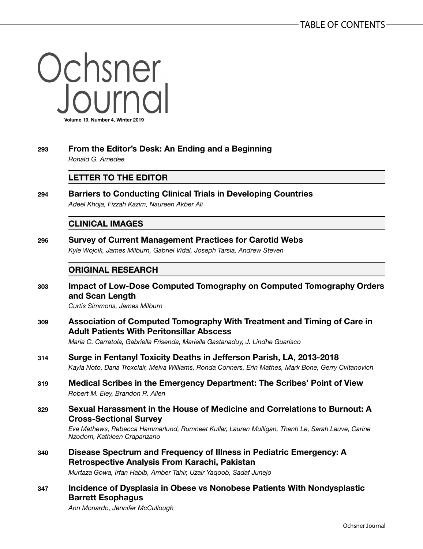Ochsner **Volume 19, Number 4, Winter 2019**

# **293 From the Editor's Desk: An Ending and a Beginning**

*Ronald G. Amedee*

## **LETTER TO THE EDITOR**

**294 Barriers to Conducting Clinical Trials in Developing Countries** *Adeel Khoja, Fizzah Kazim, Naureen Akber Ali*

### **CLINICAL IMAGES**

**296 Survey of Current Management Practices for Carotid Webs** *Kyle Wojcik, James Milburn, Gabriel Vidal, Joseph Tarsia, Andrew Steven*

## **ORIGINAL RESEARCH**

**303 Impact of Low-Dose Computed Tomography on Computed Tomography Orders and Scan Length**

*Curtis Simmons, James Milburn*

**309 Association of Computed Tomography With Treatment and Timing of Care in Adult Patients With Peritonsillar Abscess**

*Maria C. Carratola, Gabriella Frisenda, Mariella Gastanaduy, J. Lindhe Guarisco*

- **314 Surge in Fentanyl Toxicity Deaths in Jefferson Parish, LA, 2013-2018** *Kayla Noto, Dana Troxclair, Melva Williams, Ronda Conners, Erin Mathes, Mark Bone, Gerry Cvitanovich*
- **319 Medical Scribes in the Emergency Department: The Scribes' Point of View** *Robert M. Eley, Brandon R. Allen*

### **329 Sexual Harassment in the House of Medicine and Correlations to Burnout: A Cross-Sectional Survey**

*Eva Mathews, Rebecca Hammarlund, Rumneet Kullar, Lauren Mulligan, Thanh Le, Sarah Lauve, Carine Nzodom, Kathleen Crapanzano*

**340 Disease Spectrum and Frequency of Illness in Pediatric Emergency: A Retrospective Analysis From Karachi, Pakistan**

*Murtaza Gowa, Irfan Habib, Amber Tahir, Uzair Yaqoob, Sadaf Junejo*

**347 Incidence of Dysplasia in Obese vs Nonobese Patients With Nondysplastic Barrett Esophagus**

*Ann Monardo, Jennifer McCullough*